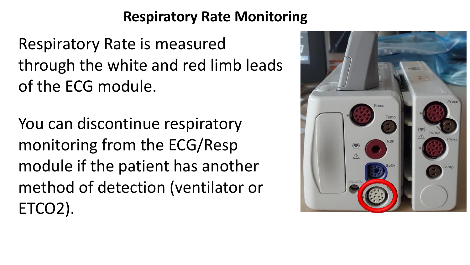Respiratory Rate is measured through the white and red limb leads of the ECG module.

You can discontinue respiratory monitoring from the ECG/Resp module if the patient has another method of detection (ventilator or ETCO2).

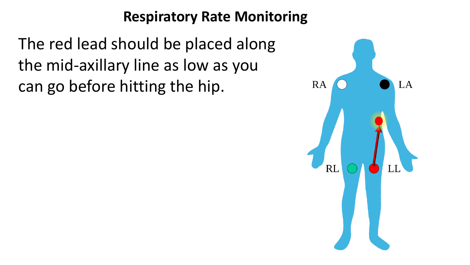The red lead should be placed along the mid-axillary line as low as you can go before hitting the hip.

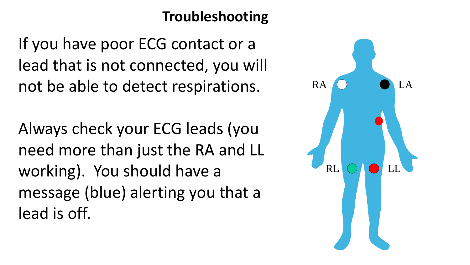# **Troubleshooting**

If you have poor ECG contact or a lead that is not connected, you will not be able to detect respirations.

Always check your ECG leads (you need more than just the RA and LL working). You should have a message (blue) alerting you that a lead is off.

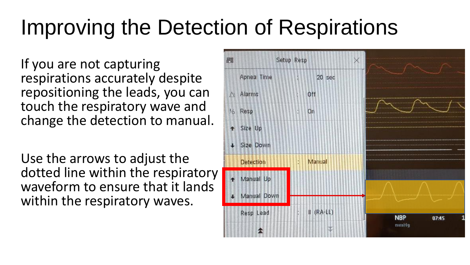# Improving the Detection of Respirations

If you are not capturing respirations accurately despite repositioning the leads, you can touch the respiratory wave and change the detection to manual.

Use the arrows to adjust the dotted line within the respiratory waveform to ensure that it lands within the respiratory waves.

| Setup Resp<br>圓  |                     | X                          |
|------------------|---------------------|----------------------------|
| Apnea Time       | 20 sec<br>B.        |                            |
| Alarms<br>N      | Off                 | <b>Andrew Monday Corp.</b> |
| % Resp           | f,<br>On            | at a presence experience   |
| + Size Up        |                     |                            |
| + Size Down      |                     |                            |
| <b>Detection</b> | Manual<br>ş.        |                            |
| Manual Up        |                     |                            |
| Manual Down      |                     |                            |
| Resp Lead        | $\parallel$ (RA-LL) | <b>NBP</b><br>07:45        |
|                  |                     | mmHg                       |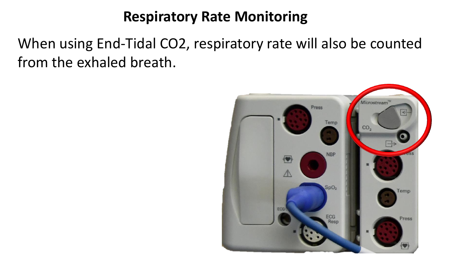When using End-Tidal CO2, respiratory rate will also be counted from the exhaled breath.

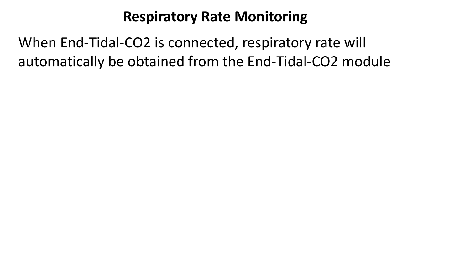When End-Tidal-CO2 is connected, respiratory rate will automatically be obtained from the End-Tidal-CO2 module